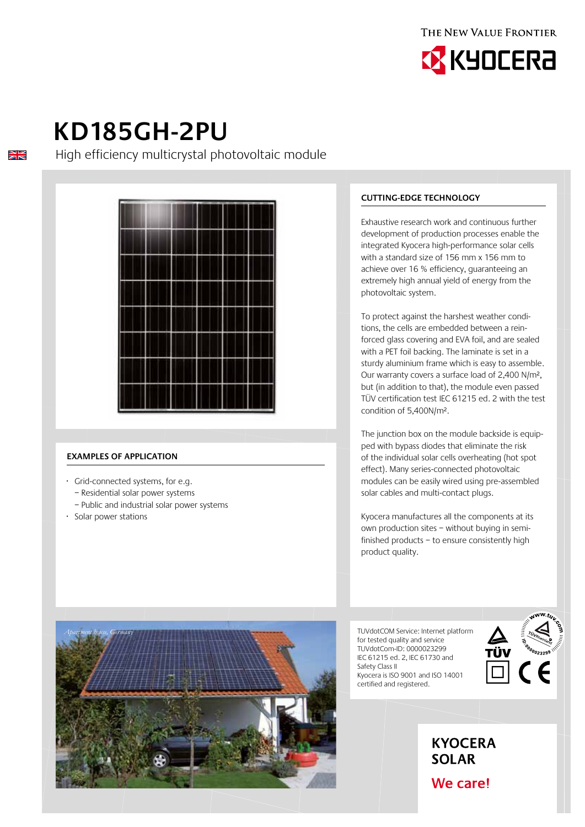



# **KD185GH-2PU**

 $\frac{\sum x}{\sum x}$ 

High efficiency multicrystal photovoltaic module



#### **Examples of application**

- · Grid-connected systems, for e.g.
	- Residential solar power systems
	- Public and industrial solar power systems
- · Solar power stations

*Apartment house, Germany*

### **Cutting-edge technology**

Exhaustive research work and continuous further development of production processes enable the integrated Kyocera high-performance solar cells with a standard size of 156 mm x 156 mm to achieve over 16 % efficiency, guaranteeing an extremely high annual yield of energy from the photovoltaic system.

To protect against the harshest weather conditions, the cells are embedded between a reinforced glass covering and EVA foil, and are sealed with a PET foil backing. The laminate is set in a sturdy aluminium frame which is easy to assemble. Our warranty covers a surface load of 2,400 N/m², but (in addition to that), the module even passed TÜV certification test IEC 61215 ed. 2 with the test condition of 5,400N/m².

The junction box on the module backside is equipped with bypass diodes that eliminate the risk of the individual solar cells overheating (hot spot effect). Many series-connected photovoltaic modules can be easily wired using pre-assembled solar cables and multi-contact plugs.

Kyocera manufactures all the components at its own production sites – without buying in semifinished products – to ensure consistently high product quality.

TUVdotCOM Service: Internet platform for tested quality and service TUVdotCom-ID: 0000023299 IEC 61215 ed. 2, IEC 61730 and Safety Class II Kyocera is ISO 9001 and ISO 14001 certified and registered.



# **KYOCERA SOLAR**

We care!